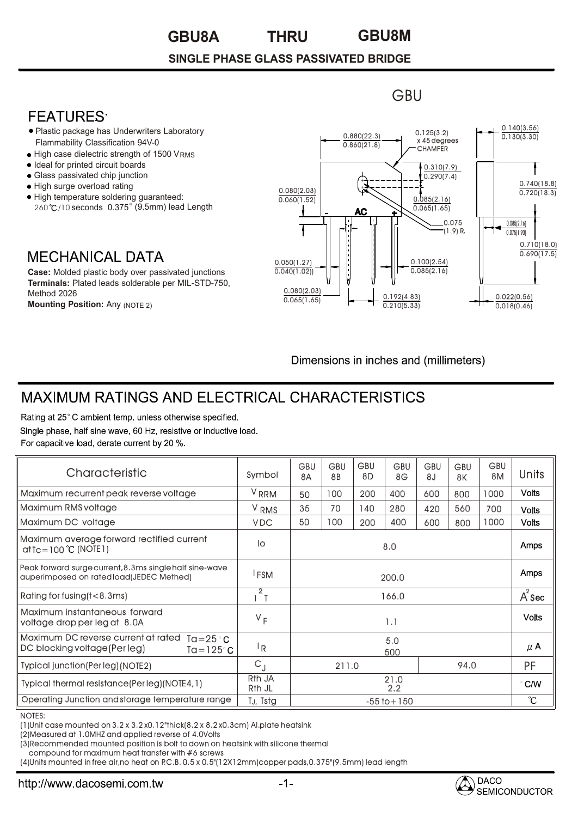#### **GBU8A GBU8M THRU**

### **SINGLE PHASE GLASS PASSIVATED BRIDGE**

## **FFATURFS**

- Plastic package has Underwriters Laboratory Flammability Classification 94V-0
- $\bullet$  High case dielectric strength of 1500 V $_{\rm RMS}$
- Ideal for printed circuit boards •
- Glass passivated chip junction •
- High surge overload rating •
- High temperature soldering guaranteed: 260°C/10 seconds 0.375" (9.5mm) lead Length

## **MECHANICAL DATA**

**Case:** Molded plastic body over passivated junctions **Terminals:** Plated leads solderable per MIL-STD-750, Method 2026 **Mounting Position:** Any (NOTE 2)



**GBU** 

Dimensions in inches and (millimeters)

# **MAXIMUM RATINGS AND ELECTRICAL CHARACTERISTICS**

Rating at 25°C ambient temp, unless otherwise specified. Single phase, half sine wave, 60 Hz, resistive or inductive load. For capacitive load, derate current by 20 %.

| Characteristic                                                                                         | Symbol                                   | <b>GBU</b><br><b>8A</b> | <b>GBU</b><br>8B | GBU<br>8D | <b>GBU</b><br>8G | GBU<br>8 <sub>J</sub> | <b>GBU</b><br>8K | <b>GBU</b><br>8M | <b>Units</b>     |
|--------------------------------------------------------------------------------------------------------|------------------------------------------|-------------------------|------------------|-----------|------------------|-----------------------|------------------|------------------|------------------|
| Maximum recurrent peak reverse voltage                                                                 | V <sub>RRM</sub>                         | 50                      | 100              | 200       | 400              | 600                   | 800              | 1000             | <b>Volts</b>     |
| Maximum RMS voltage                                                                                    | V <sub>RMS</sub>                         | 35                      | 70               | 140       | 280              | 420                   | 560              | 700              | <b>Volts</b>     |
| Maximum DC voltage                                                                                     | <b>VDC</b>                               | 50                      | 100              | 200       | 400              | 600                   | 800              | 1000             | Volts            |
| Maximum average forward rectified current<br>$at$ Tc = 100 °C (NOTE 1)                                 | lo                                       | 8.0                     |                  |           |                  |                       |                  |                  | Amps             |
| Peak forward surge current, 8.3ms single half sine-wave<br>auperimposed on rated load(JEDEC Methed)    | <sup>I</sup> FSM                         | 200.0                   |                  |           |                  |                       |                  |                  | Amps             |
| Rating for fusing (t<8.3ms)                                                                            | $\sqrt{2}$                               | 166.0                   |                  |           |                  |                       |                  |                  | $A^2$ Sec        |
| Maximum instantaneous forward<br>voltage drop per leg at 8.0A                                          | $V_F$                                    | 1.1                     |                  |           |                  |                       |                  |                  | <b>Volts</b>     |
| Maximum DC reverse current at rated<br>Ta= $25^{\circ}$ C<br>DC blocking voltage (Per leg)<br>Ta=125°C | <sup> </sup> R                           | 5.0<br>500              |                  |           |                  |                       |                  |                  | $\mu$ A          |
| Typical junction (Per leg) (NOTE2)                                                                     | $C_{\rm d}$                              | 94.0<br>211.0           |                  |           |                  |                       |                  | <b>PF</b>        |                  |
| Typical thermal resistance(Per leg)(NOTE4,1)                                                           | R <sub>th</sub> JA<br>R <sub>th</sub> JL | 21.0<br>2.2             |                  |           |                  |                       |                  |                  | $\degree$ C/W    |
| Operating Junction and storage temperature range                                                       | T <sub>J</sub> , Tstg                    | $-55$ to $+150$         |                  |           |                  |                       |                  |                  | $\rm ^{\circ}$ C |

NOTES:

(1)Unit case mounted on 3.2 x 3.2 x0.12"thick(8.2 x 8.2 x0.3cm) Al.plate heatsink

(2)Measured at 1.0MHZ and applied reverse of 4.0Volts

(3)Recommended mounted position is bolt to down on heatsink with silicone thermal

compound for maximum heat transfer with #6 screws

(4)Units mounted in free air,no heat on P.C.B. 0.5 x 0.5"(12X12mm)copper pads,0.375"(9.5mm) lead length